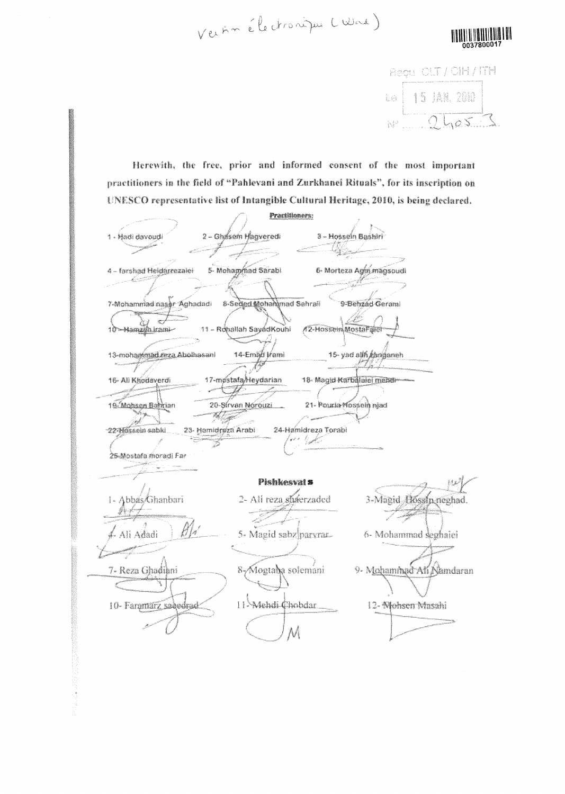Vertin électronique (Wra)



Regu CLT / CIH / ITH LO 15 JAN. 2010

Herewith, the free, prior and informed consent of the most important practitioners in the field of "Pahlevani and Zurkhanei Rituals", for its inscription on UNESCO representative list of Intangible Cultural Heritage, 2010, is being declared.

|                             | Practitioners:            |                                                |  |
|-----------------------------|---------------------------|------------------------------------------------|--|
|                             |                           |                                                |  |
| 1 - Hadi davoudi            | 2 - Ghasem Hagveredi      | 3 - Hossein Bashiri                            |  |
|                             |                           |                                                |  |
| 4 - farshad Heldarrezalei   | 5- Mohammad Sarabi        | 6- Morteza Agm. magsoudi                       |  |
| 7-Mohammad nassr Aghadadi   | 8-Sected Mohammad Sahrall | 9-Behzad Gerami                                |  |
|                             |                           |                                                |  |
| 10-Hamzish iram-            | 11 - Rohallah SayadKouhi  | A2-Hossein MostaFaret                          |  |
|                             |                           |                                                |  |
|                             |                           |                                                |  |
| 13-mohammad.reza.Abolhasani | 14-Emad Irami             | 15-yad allfi canganeh                          |  |
|                             |                           |                                                |  |
| 16- Ali Khodaverdi          | 17-mostafa/Heydarian      | 18- Magid Karbalaiei mendi-                    |  |
|                             |                           |                                                |  |
| 19-Mohsen Bahrian           | 20-Sírvan Norouzi         | 21- Pouria Mossein niad                        |  |
|                             |                           |                                                |  |
| 22 Hossein sabki            | 23- Hamidreza Arabi       | 24-Hamidreza Torabi                            |  |
| 25 Mostafa moradi Far       |                           |                                                |  |
|                             |                           |                                                |  |
|                             | Pishkesval s              |                                                |  |
|                             |                           |                                                |  |
| - Abbas/Ghanbari            | 2- Ali reza shaerzaded    | 3-Magid Hossin neghad.                         |  |
|                             |                           |                                                |  |
|                             |                           |                                                |  |
| Ali Adadi                   |                           | 5- Magid sabz paryrar.<br>6- Mohammad seghaici |  |
|                             |                           |                                                |  |
|                             |                           |                                                |  |
| 7- Reza Ghadihni            | 8-yMogtaba solemani       | 9- Mohammad Ali Namdaran                       |  |
|                             |                           |                                                |  |
| 10- Faramarz sabodrad:      | 11-Mehdi Chobdar          | 12- Nohsen Masahi                              |  |
|                             |                           |                                                |  |
|                             |                           |                                                |  |
|                             |                           |                                                |  |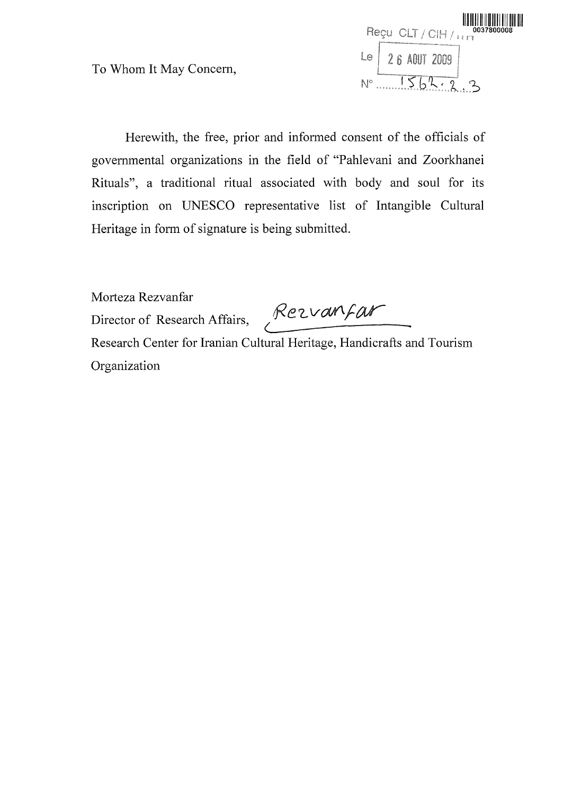Herewith, the free, prior and informed consent of the officials of governmental organizations in the field of "Pahlevani and Zoorkhanei Rituals", a traditional ritual associated with body and soul for its inscription on UNESCO representative list of Intangible Cultural Heritage in form of signature is being submitted.

Morteza Rezvanfar

Director of Research Affairs, Rezvanfar

Research Center for Iranian Cultural Heritage, Handicrafts and Tourism Organization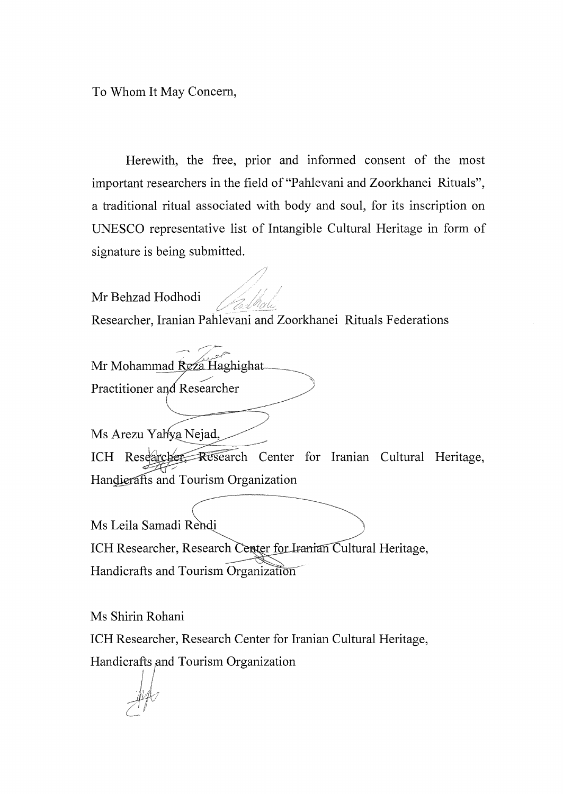Herewith, the free, prior and informed consent of the most important researchers in the field of "Pahlevani and Zoorkhanei Rituals", a traditional ritual associated with body and soul, for its inscription on UNESCO representative list of Intangible Cultural Heritage in form of signature is being submitted.

Mr Behzad Hodhodi Researcher, Iranian Pahlevani and Zoorkhanei Rituals Federations

Mr Mohammad Reza Haghighat

Practitioner and Researcher

Ms Arezu Yahya Nejad,

ICH Research Center for Iranian Cultural Heritage, Handierafts and Tourism Organization

Ms Leila Samadi Re ICH Researcher, Research Center for Iranian Cultural Heritage, Handicrafts and Tourism Organization

Ms Shirin Rohani

ICH Researcher, Research Center for Iranian Cultural Heritage, Handicrafts and Tourism Organization

 $\mathcal{A}^{\mathcal{U}}$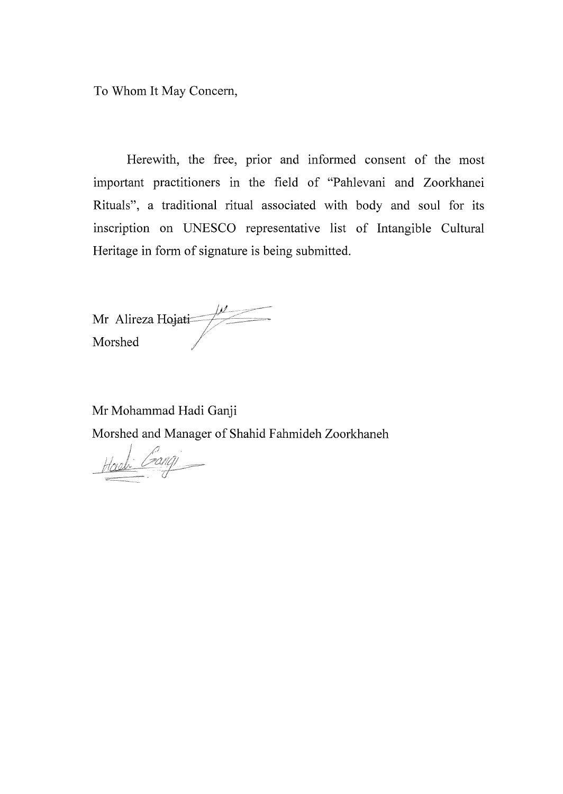Herewith, the free, prior and informed consent of the most important practitioners in the field of "Pahlevani and Zoorkhanei Rituals", a traditional ritual associated with body and soul for its inscription on UNESCO representative list of Intangible Cultural Heritage in form of signature is being submitted.

Mr Alireza Hojati Morshed

Mr Mohammad Hadi Ganji

Morshed and Manager of Shahid Fahmideh Zoorkhaneh

Howli Gang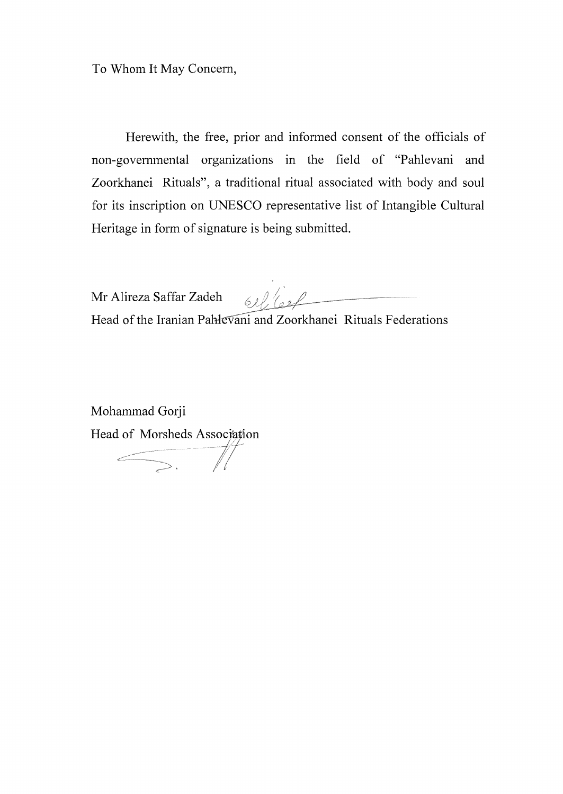Herewith, the free, prior and informed consent of the officials of non-governmental organizations in the field of "Pahlevani and Zoorkhanei Rituals", a traditional ritual associated with body and soul for its inscription on UNESCO representative list of Intangible Cultural Heritage in form of signature is being submitted.

Mr Alireza Saffar Zadeh  $61$  for  $\frac{61}{10}$ 

Head of the Iranian Pahlevani and Zoorkhanei Rituals Federations

Mohammad Gorji Head of Morsheds Association

 $\leftarrow$